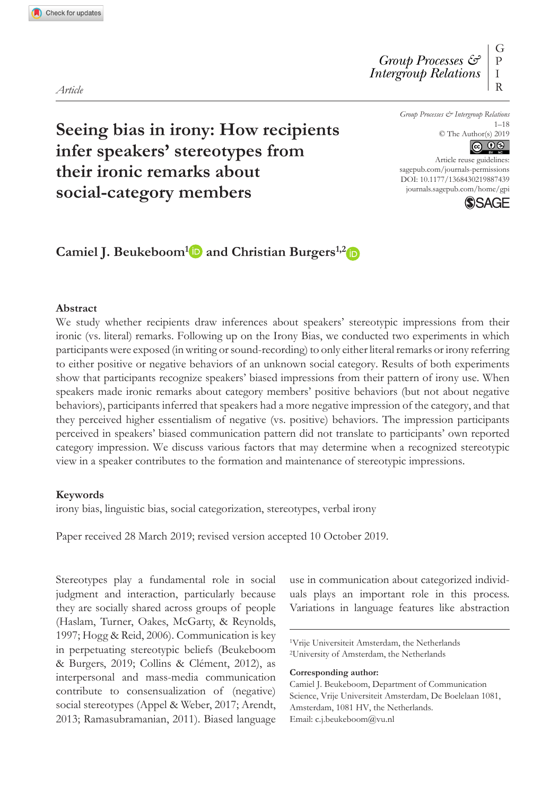*Article*

G P I R *Group Processes & Intergroup Relations*

**Seeing bias in irony: How recipients infer speakers' stereotypes from their ironic remarks about social-category members**

*Group Processes & Intergroup Relations* 1–18 © The Author(s) 2019  $\circledcirc$   $\circledcirc$ 

DOI: 10.1177/1368430219887439 Article reuse guidelines: [sagepub.com/journals-permissions](https://uk.sagepub.com/en-gb/journals-permissions) [journals.sagepub.com/home/gpi](https://journals.sagepub.com/home/gpi)



# **Camiel J. Beukeboom<sup>1</sup>D and Christian Burgers<sup>1,2</sup>D**

### **Abstract**

We study whether recipients draw inferences about speakers' stereotypic impressions from their ironic (vs. literal) remarks. Following up on the Irony Bias, we conducted two experiments in which participants were exposed (in writing or sound-recording) to only either literal remarks or irony referring to either positive or negative behaviors of an unknown social category. Results of both experiments show that participants recognize speakers' biased impressions from their pattern of irony use. When speakers made ironic remarks about category members' positive behaviors (but not about negative behaviors), participants inferred that speakers had a more negative impression of the category, and that they perceived higher essentialism of negative (vs. positive) behaviors. The impression participants perceived in speakers' biased communication pattern did not translate to participants' own reported category impression. We discuss various factors that may determine when a recognized stereotypic view in a speaker contributes to the formation and maintenance of stereotypic impressions.

#### **Keywords**

irony bias, linguistic bias, social categorization, stereotypes, verbal irony

Paper received 28 March 2019; revised version accepted 10 October 2019.

Stereotypes play a fundamental role in social judgment and interaction, particularly because they are socially shared across groups of people (Haslam, Turner, Oakes, McGarty, & Reynolds, 1997; Hogg & Reid, 2006). Communication is key in perpetuating stereotypic beliefs (Beukeboom & Burgers, 2019; Collins & Clément, 2012), as interpersonal and mass-media communication contribute to consensualization of (negative) social stereotypes (Appel & Weber, 2017; Arendt, 2013; Ramasubramanian, 2011). Biased language use in communication about categorized individuals plays an important role in this process. Variations in language features like abstraction

1Vrije Universiteit Amsterdam, the Netherlands 2University of Amsterdam, the Netherlands

**Corresponding author:**

Camiel J. Beukeboom, Department of Communication Science, Vrije Universiteit Amsterdam, De Boelelaan 1081, Amsterdam, 1081 HV, the Netherlands. Email: [c.j.beukeboom@vu.nl](mailto:c.j.beukeboom@vu.nl)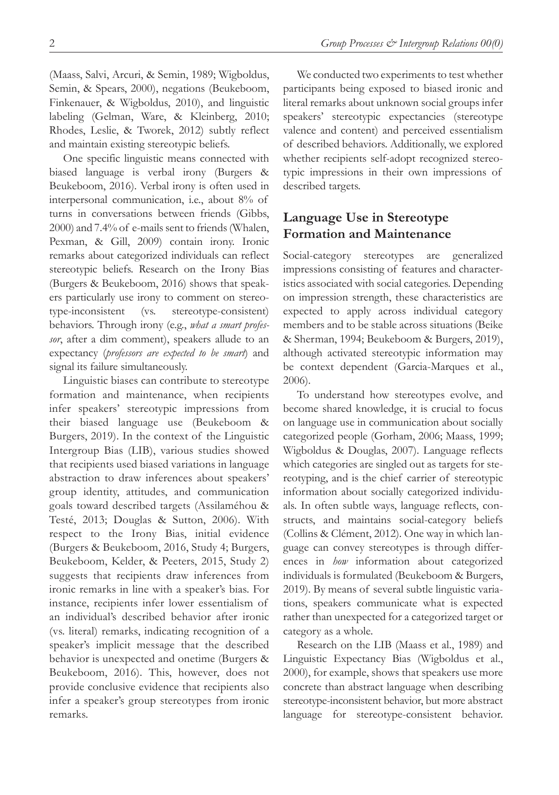(Maass, Salvi, Arcuri, & Semin, 1989; Wigboldus, Semin, & Spears, 2000), negations (Beukeboom, Finkenauer, & Wigboldus, 2010), and linguistic labeling (Gelman, Ware, & Kleinberg, 2010; Rhodes, Leslie, & Tworek, 2012) subtly reflect and maintain existing stereotypic beliefs.

One specific linguistic means connected with biased language is verbal irony (Burgers & Beukeboom, 2016). Verbal irony is often used in interpersonal communication, i.e., about 8% of turns in conversations between friends (Gibbs, 2000) and 7.4% of e-mails sent to friends (Whalen, Pexman, & Gill, 2009) contain irony. Ironic remarks about categorized individuals can reflect stereotypic beliefs. Research on the Irony Bias (Burgers & Beukeboom, 2016) shows that speakers particularly use irony to comment on stereotype-inconsistent (vs. stereotype-consistent) behaviors. Through irony (e.g., *what a smart professor*, after a dim comment), speakers allude to an expectancy (*professors are expected to be smart*) and signal its failure simultaneously.

Linguistic biases can contribute to stereotype formation and maintenance, when recipients infer speakers' stereotypic impressions from their biased language use (Beukeboom & Burgers, 2019). In the context of the Linguistic Intergroup Bias (LIB), various studies showed that recipients used biased variations in language abstraction to draw inferences about speakers' group identity, attitudes, and communication goals toward described targets (Assilaméhou & Testé, 2013; Douglas & Sutton, 2006). With respect to the Irony Bias, initial evidence (Burgers & Beukeboom, 2016, Study 4; Burgers, Beukeboom, Kelder, & Peeters, 2015, Study 2) suggests that recipients draw inferences from ironic remarks in line with a speaker's bias. For instance, recipients infer lower essentialism of an individual's described behavior after ironic (vs. literal) remarks, indicating recognition of a speaker's implicit message that the described behavior is unexpected and onetime (Burgers & Beukeboom, 2016). This, however, does not provide conclusive evidence that recipients also infer a speaker's group stereotypes from ironic remarks.

We conducted two experiments to test whether participants being exposed to biased ironic and literal remarks about unknown social groups infer speakers' stereotypic expectancies (stereotype valence and content) and perceived essentialism of described behaviors. Additionally, we explored whether recipients self-adopt recognized stereotypic impressions in their own impressions of described targets.

# **Language Use in Stereotype Formation and Maintenance**

Social-category stereotypes are generalized impressions consisting of features and characteristics associated with social categories. Depending on impression strength, these characteristics are expected to apply across individual category members and to be stable across situations (Beike & Sherman, 1994; Beukeboom & Burgers, 2019), although activated stereotypic information may be context dependent (Garcia-Marques et al., 2006).

To understand how stereotypes evolve, and become shared knowledge, it is crucial to focus on language use in communication about socially categorized people (Gorham, 2006; Maass, 1999; Wigboldus & Douglas, 2007). Language reflects which categories are singled out as targets for stereotyping, and is the chief carrier of stereotypic information about socially categorized individuals. In often subtle ways, language reflects, constructs, and maintains social-category beliefs (Collins & Clément, 2012). One way in which language can convey stereotypes is through differences in *how* information about categorized individuals is formulated (Beukeboom & Burgers, 2019). By means of several subtle linguistic variations, speakers communicate what is expected rather than unexpected for a categorized target or category as a whole.

Research on the LIB (Maass et al., 1989) and Linguistic Expectancy Bias (Wigboldus et al., 2000), for example, shows that speakers use more concrete than abstract language when describing stereotype-inconsistent behavior, but more abstract language for stereotype-consistent behavior.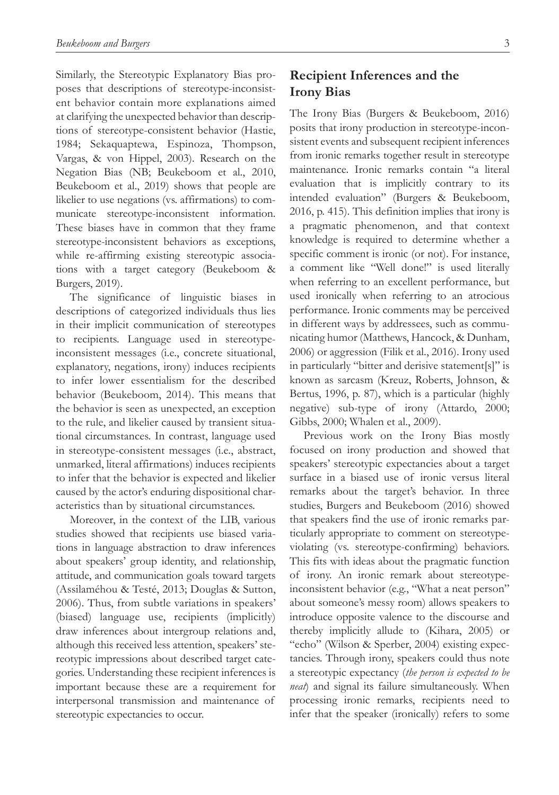Similarly, the Stereotypic Explanatory Bias proposes that descriptions of stereotype-inconsistent behavior contain more explanations aimed at clarifying the unexpected behavior than descriptions of stereotype-consistent behavior (Hastie, 1984; Sekaquaptewa, Espinoza, Thompson, Vargas, & von Hippel, 2003). Research on the Negation Bias (NB; Beukeboom et al., 2010, Beukeboom et al., 2019) shows that people are likelier to use negations (vs. affirmations) to communicate stereotype-inconsistent information. These biases have in common that they frame stereotype-inconsistent behaviors as exceptions, while re-affirming existing stereotypic associations with a target category (Beukeboom & Burgers, 2019).

The significance of linguistic biases in descriptions of categorized individuals thus lies in their implicit communication of stereotypes to recipients. Language used in stereotypeinconsistent messages (i.e., concrete situational, explanatory, negations, irony) induces recipients to infer lower essentialism for the described behavior (Beukeboom, 2014). This means that the behavior is seen as unexpected, an exception to the rule, and likelier caused by transient situational circumstances. In contrast, language used in stereotype-consistent messages (i.e., abstract, unmarked, literal affirmations) induces recipients to infer that the behavior is expected and likelier caused by the actor's enduring dispositional characteristics than by situational circumstances.

Moreover, in the context of the LIB, various studies showed that recipients use biased variations in language abstraction to draw inferences about speakers' group identity, and relationship, attitude, and communication goals toward targets (Assilaméhou & Testé, 2013; Douglas & Sutton, 2006). Thus, from subtle variations in speakers' (biased) language use, recipients (implicitly) draw inferences about intergroup relations and, although this received less attention, speakers' stereotypic impressions about described target categories. Understanding these recipient inferences is important because these are a requirement for interpersonal transmission and maintenance of stereotypic expectancies to occur.

# **Recipient Inferences and the Irony Bias**

The Irony Bias (Burgers & Beukeboom, 2016) posits that irony production in stereotype-inconsistent events and subsequent recipient inferences from ironic remarks together result in stereotype maintenance. Ironic remarks contain "a literal evaluation that is implicitly contrary to its intended evaluation" (Burgers & Beukeboom, 2016, p. 415). This definition implies that irony is a pragmatic phenomenon, and that context knowledge is required to determine whether a specific comment is ironic (or not). For instance, a comment like "Well done!" is used literally when referring to an excellent performance, but used ironically when referring to an atrocious performance. Ironic comments may be perceived in different ways by addressees, such as communicating humor (Matthews, Hancock, & Dunham, 2006) or aggression (Filik et al., 2016). Irony used in particularly "bitter and derisive statement[s]" is known as sarcasm (Kreuz, Roberts, Johnson, & Bertus, 1996, p. 87), which is a particular (highly negative) sub-type of irony (Attardo, 2000; Gibbs, 2000; Whalen et al., 2009).

Previous work on the Irony Bias mostly focused on irony production and showed that speakers' stereotypic expectancies about a target surface in a biased use of ironic versus literal remarks about the target's behavior. In three studies, Burgers and Beukeboom (2016) showed that speakers find the use of ironic remarks particularly appropriate to comment on stereotypeviolating (vs. stereotype-confirming) behaviors. This fits with ideas about the pragmatic function of irony. An ironic remark about stereotypeinconsistent behavior (e.g., "What a neat person" about someone's messy room) allows speakers to introduce opposite valence to the discourse and thereby implicitly allude to (Kihara, 2005) or "echo" (Wilson & Sperber, 2004) existing expectancies. Through irony, speakers could thus note a stereotypic expectancy (*the person is expected to be neat*) and signal its failure simultaneously. When processing ironic remarks, recipients need to infer that the speaker (ironically) refers to some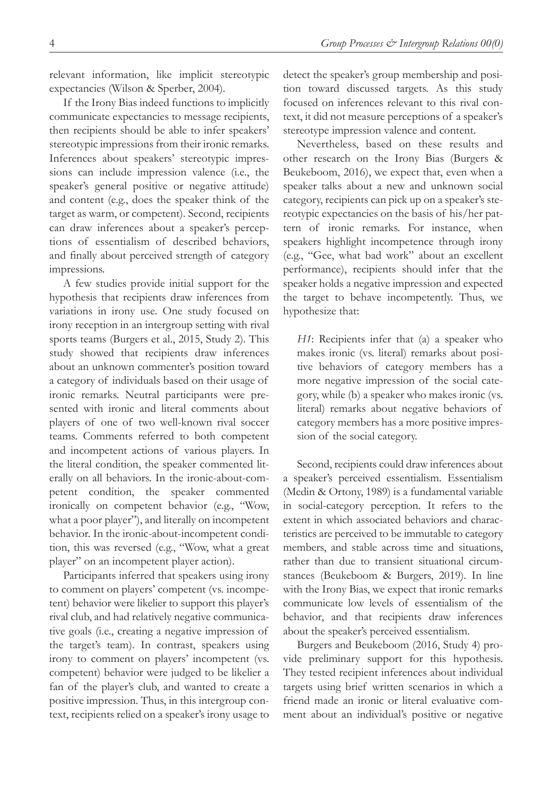relevant information, like implicit stereotypic expectancies (Wilson & Sperber, 2004).

If the Irony Bias indeed functions to implicitly communicate expectancies to message recipients, then recipients should be able to infer speakers' stereotypic impressions from their ironic remarks. Inferences about speakers' stereotypic impressions can include impression valence (i.e., the speaker's general positive or negative attitude) and content (e.g., does the speaker think of the target as warm, or competent). Second, recipients can draw inferences about a speaker's perceptions of essentialism of described behaviors, and finally about perceived strength of category impressions.

A few studies provide initial support for the hypothesis that recipients draw inferences from variations in irony use. One study focused on irony reception in an intergroup setting with rival sports teams (Burgers et al., 2015, Study 2). This study showed that recipients draw inferences about an unknown commenter's position toward a category of individuals based on their usage of ironic remarks. Neutral participants were presented with ironic and literal comments about players of one of two well-known rival soccer teams. Comments referred to both competent and incompetent actions of various players. In the literal condition, the speaker commented literally on all behaviors. In the ironic-about-competent condition, the speaker commented ironically on competent behavior (e.g., "Wow, what a poor player"), and literally on incompetent behavior. In the ironic-about-incompetent condition, this was reversed (e.g., "Wow, what a great player" on an incompetent player action).

Participants inferred that speakers using irony to comment on players' competent (vs. incompetent) behavior were likelier to support this player's rival club, and had relatively negative communicative goals (i.e., creating a negative impression of the target's team). In contrast, speakers using irony to comment on players' incompetent (vs. competent) behavior were judged to be likelier a fan of the player's club, and wanted to create a positive impression. Thus, in this intergroup context, recipients relied on a speaker's irony usage to

detect the speaker's group membership and position toward discussed targets. As this study focused on inferences relevant to this rival context, it did not measure perceptions of a speaker's stereotype impression valence and content.

Nevertheless, based on these results and other research on the Irony Bias (Burgers & Beukeboom, 2016), we expect that, even when a speaker talks about a new and unknown social category, recipients can pick up on a speaker's stereotypic expectancies on the basis of his/her pattern of ironic remarks. For instance, when speakers highlight incompetence through irony (e.g., "Gee, what bad work" about an excellent performance), recipients should infer that the speaker holds a negative impression and expected the target to behave incompetently. Thus, we hypothesize that:

*H1*: Recipients infer that (a) a speaker who makes ironic (vs. literal) remarks about positive behaviors of category members has a more negative impression of the social category, while (b) a speaker who makes ironic (vs. literal) remarks about negative behaviors of category members has a more positive impression of the social category.

Second, recipients could draw inferences about a speaker's perceived essentialism. Essentialism (Medin & Ortony, 1989) is a fundamental variable in social-category perception. It refers to the extent in which associated behaviors and characteristics are perceived to be immutable to category members, and stable across time and situations, rather than due to transient situational circumstances (Beukeboom & Burgers, 2019). In line with the Irony Bias, we expect that ironic remarks communicate low levels of essentialism of the behavior, and that recipients draw inferences about the speaker's perceived essentialism.

Burgers and Beukeboom (2016, Study 4) provide preliminary support for this hypothesis. They tested recipient inferences about individual targets using brief written scenarios in which a friend made an ironic or literal evaluative comment about an individual's positive or negative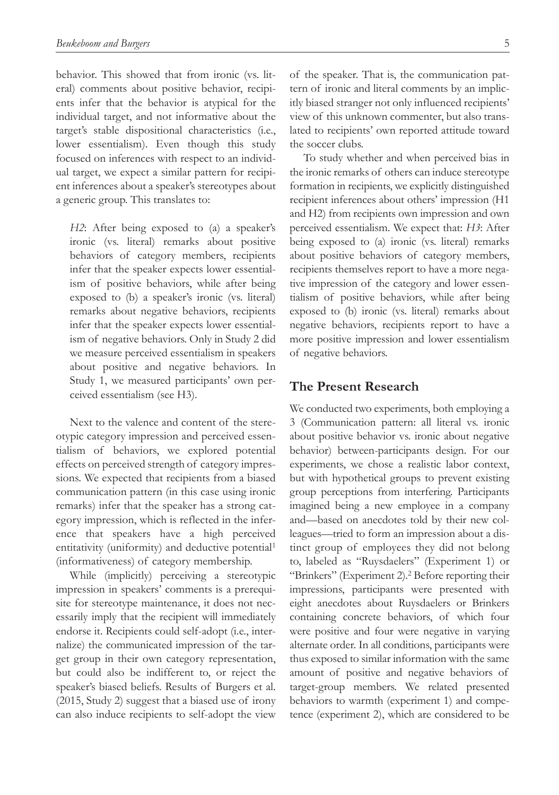behavior. This showed that from ironic (vs. literal) comments about positive behavior, recipients infer that the behavior is atypical for the individual target, and not informative about the target's stable dispositional characteristics (i.e., lower essentialism). Even though this study focused on inferences with respect to an individual target, we expect a similar pattern for recipient inferences about a speaker's stereotypes about a generic group. This translates to:

*H2*: After being exposed to (a) a speaker's ironic (vs. literal) remarks about positive behaviors of category members, recipients infer that the speaker expects lower essentialism of positive behaviors, while after being exposed to (b) a speaker's ironic (vs. literal) remarks about negative behaviors, recipients infer that the speaker expects lower essentialism of negative behaviors. Only in Study 2 did we measure perceived essentialism in speakers about positive and negative behaviors. In Study 1, we measured participants' own perceived essentialism (see H3).

Next to the valence and content of the stereotypic category impression and perceived essentialism of behaviors, we explored potential effects on perceived strength of category impressions. We expected that recipients from a biased communication pattern (in this case using ironic remarks) infer that the speaker has a strong category impression, which is reflected in the inference that speakers have a high perceived entitativity (uniformity) and deductive potential<sup>1</sup> (informativeness) of category membership.

While (implicitly) perceiving a stereotypic impression in speakers' comments is a prerequisite for stereotype maintenance, it does not necessarily imply that the recipient will immediately endorse it. Recipients could self-adopt (i.e., internalize) the communicated impression of the target group in their own category representation, but could also be indifferent to, or reject the speaker's biased beliefs. Results of Burgers et al. (2015, Study 2) suggest that a biased use of irony can also induce recipients to self-adopt the view

of the speaker. That is, the communication pattern of ironic and literal comments by an implicitly biased stranger not only influenced recipients' view of this unknown commenter, but also translated to recipients' own reported attitude toward the soccer clubs.

To study whether and when perceived bias in the ironic remarks of others can induce stereotype formation in recipients, we explicitly distinguished recipient inferences about others' impression (H1 and H2) from recipients own impression and own perceived essentialism. We expect that: *H3*: After being exposed to (a) ironic (vs. literal) remarks about positive behaviors of category members, recipients themselves report to have a more negative impression of the category and lower essentialism of positive behaviors, while after being exposed to (b) ironic (vs. literal) remarks about negative behaviors, recipients report to have a more positive impression and lower essentialism of negative behaviors.

## **The Present Research**

We conducted two experiments, both employing a 3 (Communication pattern: all literal vs. ironic about positive behavior vs. ironic about negative behavior) between-participants design. For our experiments, we chose a realistic labor context, but with hypothetical groups to prevent existing group perceptions from interfering. Participants imagined being a new employee in a company and—based on anecdotes told by their new colleagues—tried to form an impression about a distinct group of employees they did not belong to, labeled as "Ruysdaelers" (Experiment 1) or "Brinkers" (Experiment 2).2 Before reporting their impressions, participants were presented with eight anecdotes about Ruysdaelers or Brinkers containing concrete behaviors, of which four were positive and four were negative in varying alternate order. In all conditions, participants were thus exposed to similar information with the same amount of positive and negative behaviors of target-group members. We related presented behaviors to warmth (experiment 1) and competence (experiment 2), which are considered to be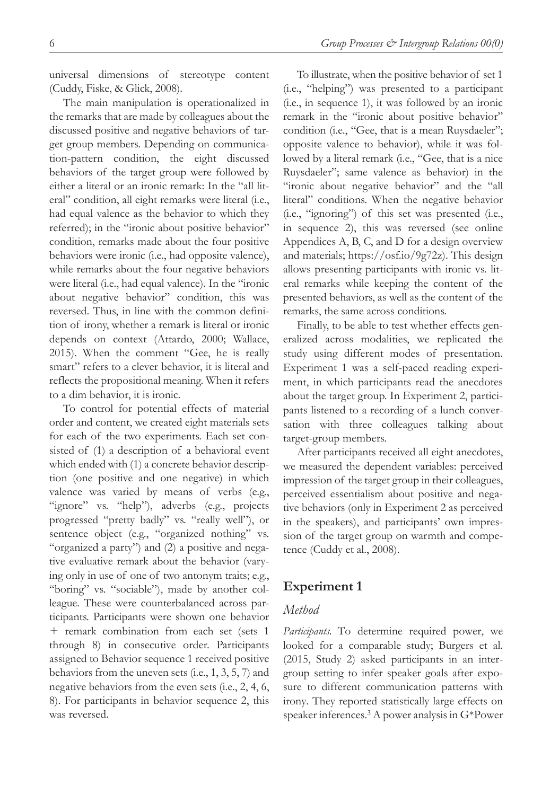universal dimensions of stereotype content (Cuddy, Fiske, & Glick, 2008).

The main manipulation is operationalized in the remarks that are made by colleagues about the discussed positive and negative behaviors of target group members. Depending on communication-pattern condition, the eight discussed behaviors of the target group were followed by either a literal or an ironic remark: In the "all literal" condition, all eight remarks were literal (i.e., had equal valence as the behavior to which they referred); in the "ironic about positive behavior" condition, remarks made about the four positive behaviors were ironic (i.e., had opposite valence), while remarks about the four negative behaviors were literal (i.e., had equal valence). In the "ironic about negative behavior" condition, this was reversed. Thus, in line with the common definition of irony, whether a remark is literal or ironic depends on context (Attardo, 2000; Wallace, 2015). When the comment "Gee, he is really smart" refers to a clever behavior, it is literal and reflects the propositional meaning. When it refers to a dim behavior, it is ironic.

To control for potential effects of material order and content, we created eight materials sets for each of the two experiments. Each set consisted of (1) a description of a behavioral event which ended with (1) a concrete behavior description (one positive and one negative) in which valence was varied by means of verbs (e.g., "ignore" vs. "help"), adverbs (e.g., projects progressed "pretty badly" vs. "really well"), or sentence object (e.g., "organized nothing" vs. "organized a party") and (2) a positive and negative evaluative remark about the behavior (varying only in use of one of two antonym traits; e.g., "boring" vs. "sociable"), made by another colleague. These were counterbalanced across participants. Participants were shown one behavior + remark combination from each set (sets 1 through 8) in consecutive order. Participants assigned to Behavior sequence 1 received positive behaviors from the uneven sets (i.e., 1, 3, 5, 7) and negative behaviors from the even sets (i.e., 2, 4, 6, 8). For participants in behavior sequence 2, this was reversed.

To illustrate, when the positive behavior of set 1 (i.e., "helping") was presented to a participant (i.e., in sequence 1), it was followed by an ironic remark in the "ironic about positive behavior" condition (i.e., "Gee, that is a mean Ruysdaeler"; opposite valence to behavior), while it was followed by a literal remark (i.e., "Gee, that is a nice Ruysdaeler"; same valence as behavior) in the "ironic about negative behavior" and the "all literal" conditions. When the negative behavior (i.e., "ignoring") of this set was presented (i.e., in sequence 2), this was reversed (see online Appendices A, B, C, and D for a design overview and materials;<https://osf.io/9g72z>). This design allows presenting participants with ironic vs. literal remarks while keeping the content of the presented behaviors, as well as the content of the remarks, the same across conditions.

Finally, to be able to test whether effects generalized across modalities, we replicated the study using different modes of presentation. Experiment 1 was a self-paced reading experiment, in which participants read the anecdotes about the target group. In Experiment 2, participants listened to a recording of a lunch conversation with three colleagues talking about target-group members.

After participants received all eight anecdotes, we measured the dependent variables: perceived impression of the target group in their colleagues, perceived essentialism about positive and negative behaviors (only in Experiment 2 as perceived in the speakers), and participants' own impression of the target group on warmth and competence (Cuddy et al., 2008).

## **Experiment 1**

## *Method*

*Participants.* To determine required power, we looked for a comparable study; Burgers et al. (2015, Study 2) asked participants in an intergroup setting to infer speaker goals after exposure to different communication patterns with irony. They reported statistically large effects on speaker inferences.3 A power analysis in G\*Power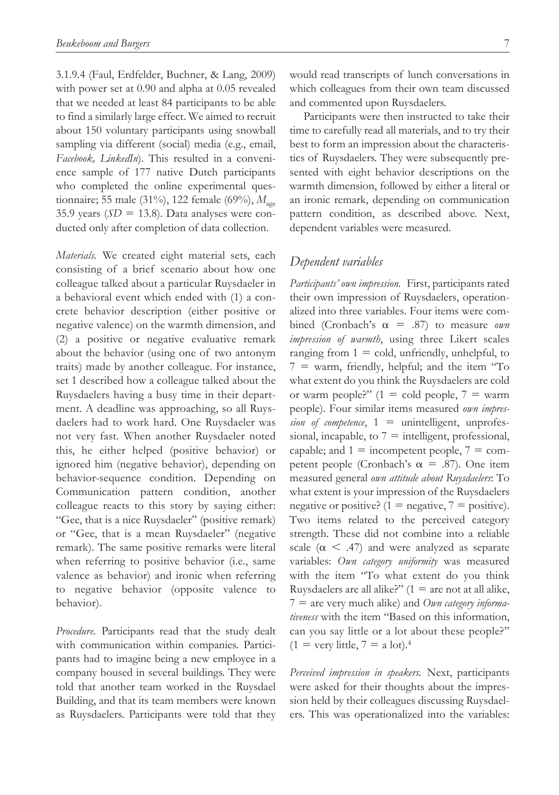3.1.9.4 (Faul, Erdfelder, Buchner, & Lang, 2009) with power set at 0.90 and alpha at 0.05 revealed that we needed at least 84 participants to be able to find a similarly large effect. We aimed to recruit about 150 voluntary participants using snowball sampling via different (social) media (e.g., email, *Facebook, LinkedIn*). This resulted in a convenience sample of 177 native Dutch participants who completed the online experimental questionnaire; 55 male (31%), 122 female (69%),  $M_{\text{age}}$ 35.9 years  $(SD = 13.8)$ . Data analyses were conducted only after completion of data collection.

*Materials.* We created eight material sets, each consisting of a brief scenario about how one colleague talked about a particular Ruysdaeler in a behavioral event which ended with (1) a concrete behavior description (either positive or negative valence) on the warmth dimension, and (2) a positive or negative evaluative remark about the behavior (using one of two antonym traits) made by another colleague. For instance, set 1 described how a colleague talked about the Ruysdaelers having a busy time in their department. A deadline was approaching, so all Ruysdaelers had to work hard. One Ruysdaeler was not very fast. When another Ruysdaeler noted this, he either helped (positive behavior) or ignored him (negative behavior), depending on behavior-sequence condition. Depending on Communication pattern condition, another colleague reacts to this story by saying either: "Gee, that is a nice Ruysdaeler" (positive remark) or "Gee, that is a mean Ruysdaeler" (negative remark). The same positive remarks were literal when referring to positive behavior (i.e., same valence as behavior) and ironic when referring to negative behavior (opposite valence to behavior).

*Procedure.* Participants read that the study dealt with communication within companies. Participants had to imagine being a new employee in a company housed in several buildings. They were told that another team worked in the Ruysdael Building, and that its team members were known as Ruysdaelers. Participants were told that they would read transcripts of lunch conversations in which colleagues from their own team discussed and commented upon Ruysdaelers.

Participants were then instructed to take their time to carefully read all materials, and to try their best to form an impression about the characteristics of Ruysdaelers. They were subsequently presented with eight behavior descriptions on the warmth dimension, followed by either a literal or an ironic remark, depending on communication pattern condition, as described above. Next, dependent variables were measured.

## *Dependent variables*

*Participants' own impression.* First, participants rated their own impression of Ruysdaelers, operationalized into three variables. Four items were combined (Cronbach's  $\alpha$  = .87) to measure *own impression of warmth*, using three Likert scales ranging from  $1 = \text{cold}$ , unfriendly, unhelpful, to  $7 =$  warm, friendly, helpful; and the item "To" what extent do you think the Ruysdaelers are cold or warm people?"  $(1 = \text{cold people}, 7 = \text{warm})$ people). Four similar items measured *own impres* $sion$  of competence,  $1 =$  unintelligent, unprofessional, incapable, to  $7 =$  intelligent, professional, capable; and  $1 =$  incompetent people,  $7 =$  competent people (Cronbach's  $\alpha = .87$ ). One item measured general *own attitude about Ruysdaelers*: To what extent is your impression of the Ruysdaelers negative or positive?  $(1 =$  negative,  $7 =$  positive). Two items related to the perceived category strength. These did not combine into a reliable scale ( $\alpha$  < .47) and were analyzed as separate variables: *Own category uniformity* was measured with the item "To what extent do you think Ruysdaelers are all alike?"  $(1 = \text{are not at all alike},$ 7 = are very much alike) and *Own category informativeness* with the item "Based on this information, can you say little or a lot about these people?"  $(1 = \text{very little}, 7 = \text{a lot}).$ <sup>4</sup>

*Perceived impression in speakers.* Next, participants were asked for their thoughts about the impression held by their colleagues discussing Ruysdaelers. This was operationalized into the variables: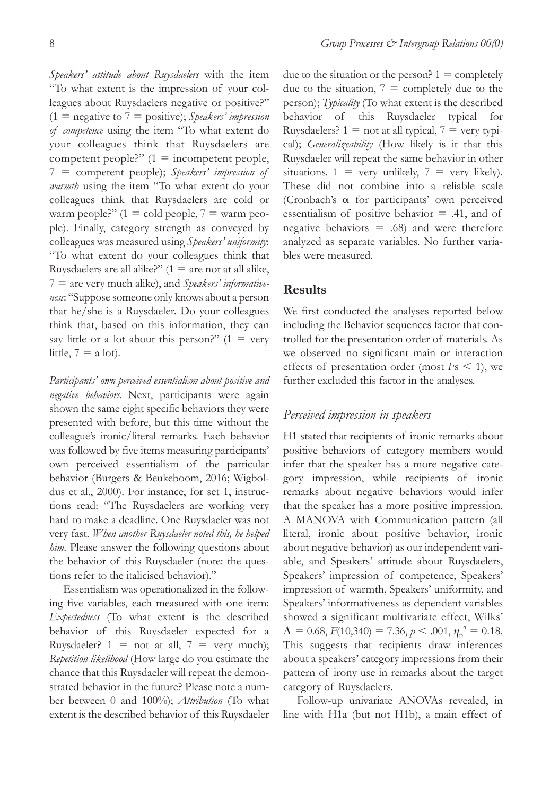*Speakers' attitude about Ruysdaelers* with the item "To what extent is the impression of your colleagues about Ruysdaelers negative or positive?" (1 = negative to 7 = positive); *Speakers' impression of competence* using the item "To what extent do your colleagues think that Ruysdaelers are competent people?"  $(1 = incompact)$  people, 7 = competent people); *Speakers' impression of warmth* using the item "To what extent do your colleagues think that Ruysdaelers are cold or warm people?"  $(1 = \text{cold people}, 7 = \text{warm people})$ ple). Finally, category strength as conveyed by colleagues was measured using *Speakers' uniformity*: "To what extent do your colleagues think that Ruysdaelers are all alike?"  $(1 = \text{are not at all alike},$ 7 = are very much alike), and *Speakers' informativeness*: "Suppose someone only knows about a person that he/she is a Ruysdaeler. Do your colleagues think that, based on this information, they can say little or a lot about this person?"  $(1 = \text{very})$ little,  $7 = a$  lot).

*Participants' own perceived essentialism about positive and negative behaviors.* Next, participants were again shown the same eight specific behaviors they were presented with before, but this time without the colleague's ironic/literal remarks. Each behavior was followed by five items measuring participants' own perceived essentialism of the particular behavior (Burgers & Beukeboom, 2016; Wigboldus et al., 2000). For instance, for set 1, instructions read: "The Ruysdaelers are working very hard to make a deadline. One Ruysdaeler was not very fast. *When another Ruysdaeler noted this, he helped him*. Please answer the following questions about the behavior of this Ruysdaeler (note: the questions refer to the italicised behavior)."

Essentialism was operationalized in the following five variables, each measured with one item: *Expectedness* (To what extent is the described behavior of this Ruysdaeler expected for a Ruysdaeler?  $1 = not at all, 7 = very much$ ; *Repetition likelihood* (How large do you estimate the chance that this Ruysdaeler will repeat the demonstrated behavior in the future? Please note a number between 0 and 100%); *Attribution* (To what extent is the described behavior of this Ruysdaeler due to the situation or the person?  $1 =$  completely due to the situation,  $7 =$  completely due to the person); *Typicality* (To what extent is the described behavior of this Ruysdaeler typical for Ruysdaelers?  $1 =$  not at all typical,  $7 =$  very typical); *Generalizeability* (How likely is it that this Ruysdaeler will repeat the same behavior in other situations.  $1 = \text{very unlikely}, 7 = \text{very likely}.$ These did not combine into a reliable scale (Cronbach's α for participants' own perceived essentialism of positive behavior  $=$  .41, and of negative behaviors  $= .68$ ) and were therefore analyzed as separate variables. No further variables were measured.

# **Results**

We first conducted the analyses reported below including the Behavior sequences factor that controlled for the presentation order of materials. As we observed no significant main or interaction effects of presentation order (most  $Fs \leq 1$ ), we further excluded this factor in the analyses.

## *Perceived impression in speakers*

H1 stated that recipients of ironic remarks about positive behaviors of category members would infer that the speaker has a more negative category impression, while recipients of ironic remarks about negative behaviors would infer that the speaker has a more positive impression. A MANOVA with Communication pattern (all literal, ironic about positive behavior, ironic about negative behavior) as our independent variable, and Speakers' attitude about Ruysdaelers, Speakers' impression of competence, Speakers' impression of warmth, Speakers' uniformity, and Speakers' informativeness as dependent variables showed a significant multivariate effect, Wilks'  $\Lambda = 0.68$ ,  $F(10,340) = 7.36$ ,  $p < .001$ ,  $\eta_p^2 = 0.18$ . This suggests that recipients draw inferences about a speakers' category impressions from their pattern of irony use in remarks about the target category of Ruysdaelers.

Follow-up univariate ANOVAs revealed, in line with H1a (but not H1b), a main effect of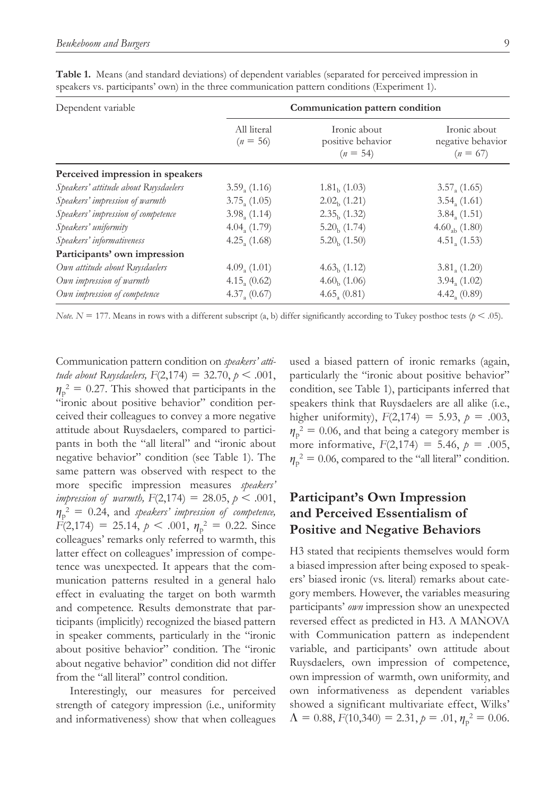| Dependent variable                   | Communication pattern condition |                                                 |                                                 |
|--------------------------------------|---------------------------------|-------------------------------------------------|-------------------------------------------------|
|                                      | All literal<br>$(n = 56)$       | Ironic about<br>positive behavior<br>$(n = 54)$ | Ironic about<br>negative behavior<br>$(n = 67)$ |
| Perceived impression in speakers     |                                 |                                                 |                                                 |
| Speakers' attitude about Ruysdaelers | 3.59, (1.16)                    | $1.81b$ (1.03)                                  | 3.57, (1.65)                                    |
| Speakers' impression of warmth       | 3.75, (1.05)                    | $2.02b$ (1.21)                                  | 3.54(1.61)                                      |
| Speakers' impression of competence   | $3.98a$ (1.14)                  | $2.35h$ (1.32)                                  | $3.84_{\circ}$ (1.51)                           |
| Speakers' uniformity                 | 4.04, (1.79)                    | $5.20b$ (1.74)                                  | $4.60_{\text{ab}}$ (1.80)                       |
| Speakers' informativeness            | 4.25(1.68)                      | $5.20_k(1.50)$                                  | 4.51, (1.53)                                    |
| Participants' own impression         |                                 |                                                 |                                                 |
| Own attitude about Ruysdaelers       | 4.09, (1.01)                    | $4.63b$ (1.12)                                  | 3.81, (1.20)                                    |
| Own impression of warmth             | 4.15, (0.62)                    | $4.60b$ (1.06)                                  | 3.94, (1.02)                                    |
| Own impression of competence         | $4.37_{\circ}$ (0.67)           | $4.65a$ (0.81)                                  | $4.42_{\text{a}} (0.89)$                        |

**Table 1.** Means (and standard deviations) of dependent variables (separated for perceived impression in speakers vs. participants' own) in the three communication pattern conditions (Experiment 1).

*Note.*  $N = 177$ . Means in rows with a different subscript (a, b) differ significantly according to Tukey posthoc tests ( $p < .05$ ).

Communication pattern condition on *speakers' attitude about Ruysdaelers, F*(2,174) = 32.70,  $p < .001$ ,  $\eta_p^2 = 0.27$ . This showed that participants in the "ironic about positive behavior" condition perceived their colleagues to convey a more negative attitude about Ruysdaelers, compared to participants in both the "all literal" and "ironic about negative behavior" condition (see Table 1). The same pattern was observed with respect to the more specific impression measures *speakers' impression of warmth,*  $F(2,174) = 28.05, p < .001$ ,  $\eta_p^2 = 0.24$ , and *speakers' impression of competence*,  $F(2,174) = 25.14, p \le .001, \eta_p^2 = 0.22$ . Since colleagues' remarks only referred to warmth, this latter effect on colleagues' impression of competence was unexpected. It appears that the communication patterns resulted in a general halo effect in evaluating the target on both warmth and competence. Results demonstrate that participants (implicitly) recognized the biased pattern in speaker comments, particularly in the "ironic about positive behavior" condition. The "ironic about negative behavior" condition did not differ from the "all literal" control condition.

Interestingly, our measures for perceived strength of category impression (i.e., uniformity and informativeness) show that when colleagues used a biased pattern of ironic remarks (again, particularly the "ironic about positive behavior" condition, see Table 1), participants inferred that speakers think that Ruysdaelers are all alike (i.e., higher uniformity),  $F(2,174) = 5.93$ ,  $p = .003$ ,  $\eta_p^2 = 0.06$ , and that being a category member is more informative,  $F(2,174) = 5.46$ ,  $p = .005$ ,  $\eta_p^2$  = 0.06, compared to the "all literal" condition.

# **Participant's Own Impression and Perceived Essentialism of Positive and Negative Behaviors**

H3 stated that recipients themselves would form a biased impression after being exposed to speakers' biased ironic (vs. literal) remarks about category members. However, the variables measuring participants' *own* impression show an unexpected reversed effect as predicted in H3. A MANOVA with Communication pattern as independent variable, and participants' own attitude about Ruysdaelers, own impression of competence, own impression of warmth, own uniformity, and own informativeness as dependent variables showed a significant multivariate effect, Wilks'  $\Lambda = 0.88, F(10,340) = 2.31, p = .01, \eta_p^2 = 0.06.$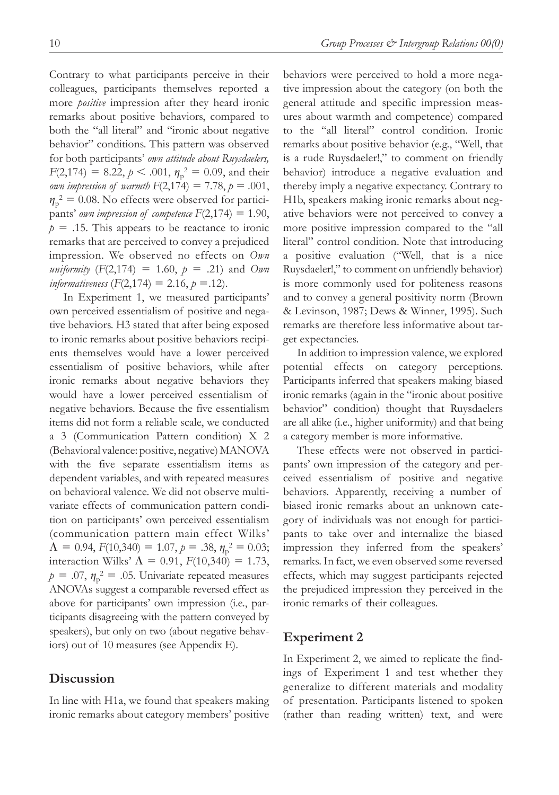Contrary to what participants perceive in their colleagues, participants themselves reported a more *positive* impression after they heard ironic remarks about positive behaviors, compared to both the "all literal" and "ironic about negative behavior" conditions. This pattern was observed for both participants' *own attitude about Ruysdaelers,*   $F(2,174) = 8.22, p \le .001, \eta_p^2 = 0.09$ , and their *own impression of warmth*  $F(2,174) = 7.78, p = .001,$  $\eta_p^2 = 0.08$ . No effects were observed for participants' *own impression of competence*  $F(2,174) = 1.90$ ,  $p = .15$ . This appears to be reactance to ironic remarks that are perceived to convey a prejudiced impression. We observed no effects on *Own uniformity*  $(F(2, 174) = 1.60, p = .21)$  and *Own informativeness* ( $F(2,174) = 2.16, p = .12$ ).

In Experiment 1, we measured participants' own perceived essentialism of positive and negative behaviors. H3 stated that after being exposed to ironic remarks about positive behaviors recipients themselves would have a lower perceived essentialism of positive behaviors, while after ironic remarks about negative behaviors they would have a lower perceived essentialism of negative behaviors. Because the five essentialism items did not form a reliable scale, we conducted a 3 (Communication Pattern condition) X 2 (Behavioral valence: positive, negative) MANOVA with the five separate essentialism items as dependent variables, and with repeated measures on behavioral valence. We did not observe multivariate effects of communication pattern condition on participants' own perceived essentialism (communication pattern main effect Wilks'  $\Lambda = 0.94$ ,  $F(10,340) = 1.07$ ,  $p = .38$ ,  $\eta_p^2 = 0.03$ ; interaction Wilks'  $\Lambda = 0.91, F(10,340) = 1.73$ ,  $p = .07$ ,  $\eta_p^2 = .05$ . Univariate repeated measures ANOVAs suggest a comparable reversed effect as above for participants' own impression (i.e., participants disagreeing with the pattern conveyed by speakers), but only on two (about negative behaviors) out of 10 measures (see Appendix E).

## **Discussion**

In line with H1a, we found that speakers making ironic remarks about category members' positive

behaviors were perceived to hold a more negative impression about the category (on both the general attitude and specific impression measures about warmth and competence) compared to the "all literal" control condition. Ironic remarks about positive behavior (e.g., "Well, that is a rude Ruysdaeler!," to comment on friendly behavior) introduce a negative evaluation and thereby imply a negative expectancy. Contrary to H1b, speakers making ironic remarks about negative behaviors were not perceived to convey a more positive impression compared to the "all literal" control condition. Note that introducing a positive evaluation ("Well, that is a nice Ruysdaeler!," to comment on unfriendly behavior) is more commonly used for politeness reasons and to convey a general positivity norm (Brown & Levinson, 1987; Dews & Winner, 1995). Such remarks are therefore less informative about target expectancies.

In addition to impression valence, we explored potential effects on category perceptions. Participants inferred that speakers making biased ironic remarks (again in the "ironic about positive behavior" condition) thought that Ruysdaelers are all alike (i.e., higher uniformity) and that being a category member is more informative.

These effects were not observed in participants' own impression of the category and perceived essentialism of positive and negative behaviors. Apparently, receiving a number of biased ironic remarks about an unknown category of individuals was not enough for participants to take over and internalize the biased impression they inferred from the speakers' remarks. In fact, we even observed some reversed effects, which may suggest participants rejected the prejudiced impression they perceived in the ironic remarks of their colleagues.

## **Experiment 2**

In Experiment 2, we aimed to replicate the findings of Experiment 1 and test whether they generalize to different materials and modality of presentation. Participants listened to spoken (rather than reading written) text, and were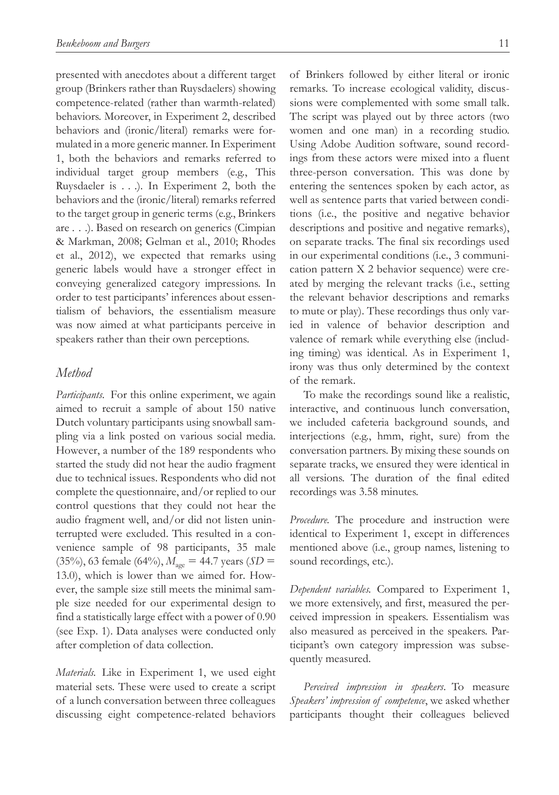presented with anecdotes about a different target group (Brinkers rather than Ruysdaelers) showing competence-related (rather than warmth-related) behaviors. Moreover, in Experiment 2, described behaviors and (ironic/literal) remarks were formulated in a more generic manner. In Experiment 1, both the behaviors and remarks referred to individual target group members (e.g., This Ruysdaeler is . . .). In Experiment 2, both the behaviors and the (ironic/literal) remarks referred to the target group in generic terms (e.g., Brinkers are . . .). Based on research on generics (Cimpian & Markman, 2008; Gelman et al., 2010; Rhodes et al., 2012), we expected that remarks using generic labels would have a stronger effect in conveying generalized category impressions. In order to test participants' inferences about essentialism of behaviors, the essentialism measure was now aimed at what participants perceive in speakers rather than their own perceptions.

## *Method*

*Participants.* For this online experiment, we again aimed to recruit a sample of about 150 native Dutch voluntary participants using snowball sampling via a link posted on various social media. However, a number of the 189 respondents who started the study did not hear the audio fragment due to technical issues. Respondents who did not complete the questionnaire, and/or replied to our control questions that they could not hear the audio fragment well, and/or did not listen uninterrupted were excluded. This resulted in a convenience sample of 98 participants, 35 male  $(35\%)$ , 63 female (64%),  $M_{\text{age}} = 44.7$  years (*SD* = 13.0), which is lower than we aimed for. However, the sample size still meets the minimal sample size needed for our experimental design to find a statistically large effect with a power of 0.90 (see Exp. 1). Data analyses were conducted only after completion of data collection.

*Materials.* Like in Experiment 1, we used eight material sets. These were used to create a script of a lunch conversation between three colleagues discussing eight competence-related behaviors

of Brinkers followed by either literal or ironic remarks. To increase ecological validity, discussions were complemented with some small talk. The script was played out by three actors (two women and one man) in a recording studio. Using Adobe Audition software, sound recordings from these actors were mixed into a fluent three-person conversation. This was done by entering the sentences spoken by each actor, as well as sentence parts that varied between conditions (i.e., the positive and negative behavior descriptions and positive and negative remarks), on separate tracks. The final six recordings used in our experimental conditions (i.e., 3 communication pattern X 2 behavior sequence) were created by merging the relevant tracks (i.e., setting the relevant behavior descriptions and remarks to mute or play). These recordings thus only varied in valence of behavior description and valence of remark while everything else (including timing) was identical. As in Experiment 1, irony was thus only determined by the context of the remark.

To make the recordings sound like a realistic, interactive, and continuous lunch conversation, we included cafeteria background sounds, and interjections (e.g., hmm, right, sure) from the conversation partners. By mixing these sounds on separate tracks, we ensured they were identical in all versions. The duration of the final edited recordings was 3.58 minutes.

*Procedure.* The procedure and instruction were identical to Experiment 1, except in differences mentioned above (i.e., group names, listening to sound recordings, etc.).

*Dependent variables.* Compared to Experiment 1, we more extensively, and first, measured the perceived impression in speakers. Essentialism was also measured as perceived in the speakers. Participant's own category impression was subsequently measured.

*Perceived impression in speakers*. To measure *Speakers' impression of competence*, we asked whether participants thought their colleagues believed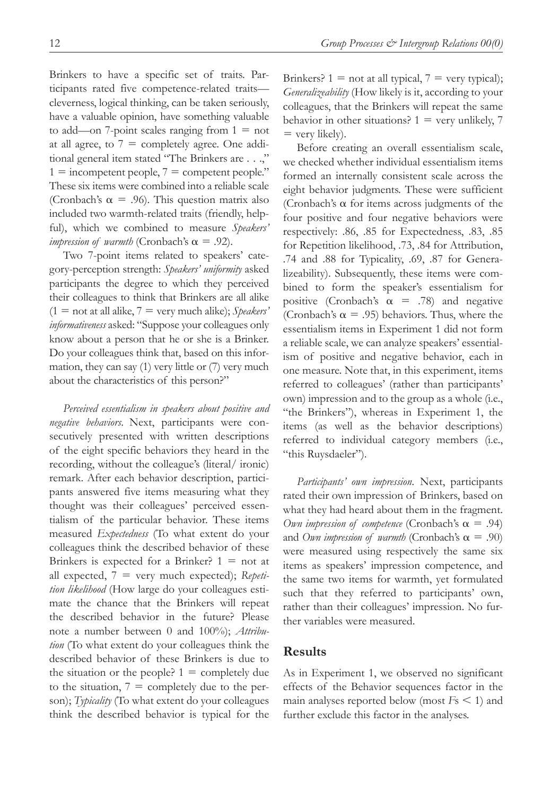Brinkers to have a specific set of traits. Participants rated five competence-related traits cleverness, logical thinking, can be taken seriously, have a valuable opinion, have something valuable to add—on 7-point scales ranging from  $1 = not$ at all agree, to  $7 =$  completely agree. One additional general item stated "The Brinkers are . . .,"  $1 =$  incompetent people,  $7 =$  competent people." These six items were combined into a reliable scale (Cronbach's  $\alpha$  = .96). This question matrix also included two warmth-related traits (friendly, helpful), which we combined to measure *Speakers' impression of warmth* (Cronbach's  $\alpha$  = .92).

Two 7-point items related to speakers' category-perception strength: *Speakers' uniformity* asked participants the degree to which they perceived their colleagues to think that Brinkers are all alike (1 = not at all alike, 7 = very much alike); *Speakers' informativeness* asked: "Suppose your colleagues only know about a person that he or she is a Brinker. Do your colleagues think that, based on this information, they can say (1) very little or (7) very much about the characteristics of this person?"

*Perceived essentialism in speakers about positive and negative behaviors*. Next, participants were consecutively presented with written descriptions of the eight specific behaviors they heard in the recording, without the colleague's (literal/ ironic) remark. After each behavior description, participants answered five items measuring what they thought was their colleagues' perceived essentialism of the particular behavior. These items measured *Expectedness* (To what extent do your colleagues think the described behavior of these Brinkers is expected for a Brinker?  $1 = \text{not at }$ all expected, 7 = very much expected); *Repetition likelihood* (How large do your colleagues estimate the chance that the Brinkers will repeat the described behavior in the future? Please note a number between 0 and 100%); *Attribution* (To what extent do your colleagues think the described behavior of these Brinkers is due to the situation or the people?  $1 =$  completely due to the situation,  $7 =$  completely due to the person); *Typicality* (To what extent do your colleagues think the described behavior is typical for the

Brinkers?  $1 =$  not at all typical,  $7 =$  very typical); *Generalizeability* (How likely is it, according to your colleagues, that the Brinkers will repeat the same behavior in other situations?  $1 = \text{very unlikely}, 7$  $=$  very likely).

Before creating an overall essentialism scale, we checked whether individual essentialism items formed an internally consistent scale across the eight behavior judgments. These were sufficient (Cronbach's  $\alpha$  for items across judgments of the four positive and four negative behaviors were respectively: .86, .85 for Expectedness, .83, .85 for Repetition likelihood, .73, .84 for Attribution, .74 and .88 for Typicality, .69, .87 for Generalizeability). Subsequently, these items were combined to form the speaker's essentialism for positive (Cronbach's  $\alpha$  = .78) and negative (Cronbach's  $\alpha$  = .95) behaviors. Thus, where the essentialism items in Experiment 1 did not form a reliable scale, we can analyze speakers' essentialism of positive and negative behavior, each in one measure. Note that, in this experiment, items referred to colleagues' (rather than participants' own) impression and to the group as a whole (i.e., "the Brinkers"), whereas in Experiment 1, the items (as well as the behavior descriptions) referred to individual category members (i.e., "this Ruysdaeler").

*Participants' own impression*. Next, participants rated their own impression of Brinkers, based on what they had heard about them in the fragment. *Own impression of competence* (Cronbach's  $\alpha$  = .94) and *Own impression of warmth* (Cronbach's  $\alpha$  = .90) were measured using respectively the same six items as speakers' impression competence, and the same two items for warmth, yet formulated such that they referred to participants' own, rather than their colleagues' impression. No further variables were measured.

## **Results**

As in Experiment 1, we observed no significant effects of the Behavior sequences factor in the main analyses reported below (most *F*s < 1) and further exclude this factor in the analyses.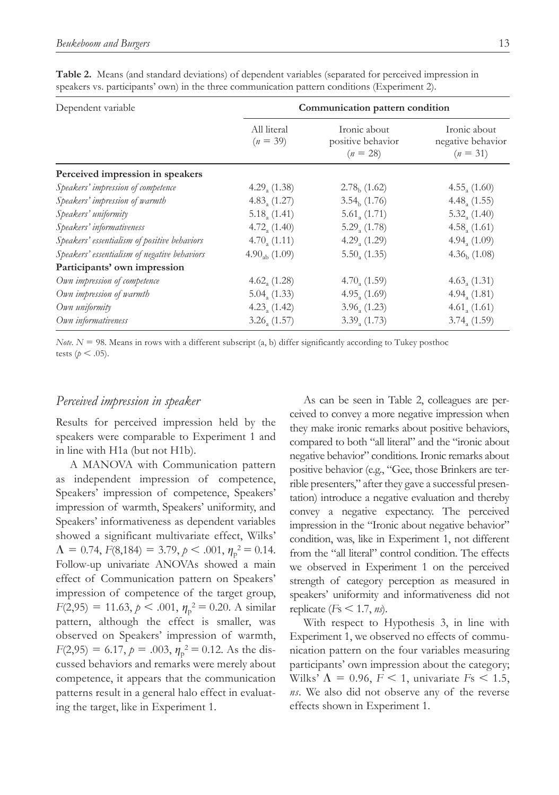| Dependent variable                           | Communication pattern condition |                                                 |                                                 |
|----------------------------------------------|---------------------------------|-------------------------------------------------|-------------------------------------------------|
|                                              | All literal<br>$(n = 39)$       | Ironic about<br>positive behavior<br>$(n = 28)$ | Ironic about<br>negative behavior<br>$(n = 31)$ |
| Perceived impression in speakers             |                                 |                                                 |                                                 |
| Speakers' impression of competence           | 4.29, (1.38)                    | $2.78h$ (1.62)                                  | 4.55, (1.60)                                    |
| Speakers' impression of warmth               | 4.83, (1.27)                    | $3.54b$ (1.76)                                  | 4.48, (1.55)                                    |
| Speakers' uniformity                         | 5.18, (1.41)                    | $5.61a$ (1.71)                                  | $5.32a$ $(1.40)$                                |
| Speakers' informativeness                    | 4.72, (1.40)                    | 5.29, (1.78)                                    | 4.58, (1.61)                                    |
| Speakers' essentialism of positive behaviors | $4.70_{\circ}$ $(1.11)$         | 4.29, (1.29)                                    | $4.94a$ $(1.09)$                                |
| Speakers' essentialism of negative behaviors | 4.90 <sub>ab</sub> $(1.09)$     | 5.50, (1.35)                                    | $4.36b$ (1.08)                                  |
| Participants' own impression                 |                                 |                                                 |                                                 |
| Own impression of competence                 | 4.62, (1.28)                    | 4.70, (1.59)                                    | 4.63, (1.31)                                    |
| Own impression of warmth                     | $5.04_{\circ}$ (1.33)           | $4.95_{\circ}$ (1.69)                           | $4.94_{\circ}$ $(1.81)$                         |
| Own uniformity                               | 4.23, (1.42)                    | 3.96, (1.23)                                    | 4.61, (1.61)                                    |
| Own informativeness                          | 3.26, (1.57)                    | 3.39, (1.73)                                    | 3.74, (1.59)                                    |

**Table 2.** Means (and standard deviations) of dependent variables (separated for perceived impression in speakers vs. participants' own) in the three communication pattern conditions (Experiment 2).

*Note.*  $N = 98$ . Means in rows with a different subscript (a, b) differ significantly according to Tukey posthoc tests  $(p < .05)$ .

## *Perceived impression in speaker*

Results for perceived impression held by the speakers were comparable to Experiment 1 and in line with H1a (but not H1b).

A MANOVA with Communication pattern as independent impression of competence, Speakers' impression of competence, Speakers' impression of warmth, Speakers' uniformity, and Speakers' informativeness as dependent variables showed a significant multivariate effect, Wilks'  $\Lambda = 0.74$ ,  $F(8,184) = 3.79$ ,  $p < .001$ ,  $\eta_p^2 = 0.14$ . Follow-up univariate ANOVAs showed a main effect of Communication pattern on Speakers' impression of competence of the target group,  $F(2,95) = 11.63, p \le .001, \eta_p^2 = 0.20$ . A similar pattern, although the effect is smaller, was observed on Speakers' impression of warmth,  $F(2,95) = 6.17, p = .003, \eta_p^2 = 0.12$ . As the discussed behaviors and remarks were merely about competence, it appears that the communication patterns result in a general halo effect in evaluating the target, like in Experiment 1.

As can be seen in Table 2, colleagues are perceived to convey a more negative impression when they make ironic remarks about positive behaviors, compared to both "all literal" and the "ironic about negative behavior" conditions. Ironic remarks about positive behavior (e.g., "Gee, those Brinkers are terrible presenters," after they gave a successful presentation) introduce a negative evaluation and thereby convey a negative expectancy. The perceived impression in the "Ironic about negative behavior" condition, was, like in Experiment 1, not different from the "all literal" control condition. The effects we observed in Experiment 1 on the perceived strength of category perception as measured in speakers' uniformity and informativeness did not replicate (*F*s < 1.7, *ns*).

With respect to Hypothesis 3, in line with Experiment 1, we observed no effects of communication pattern on the four variables measuring participants' own impression about the category; Wilks'  $\Lambda = 0.96, F \le 1$ , univariate  $Fs \le 1.5$ , *ns*. We also did not observe any of the reverse effects shown in Experiment 1.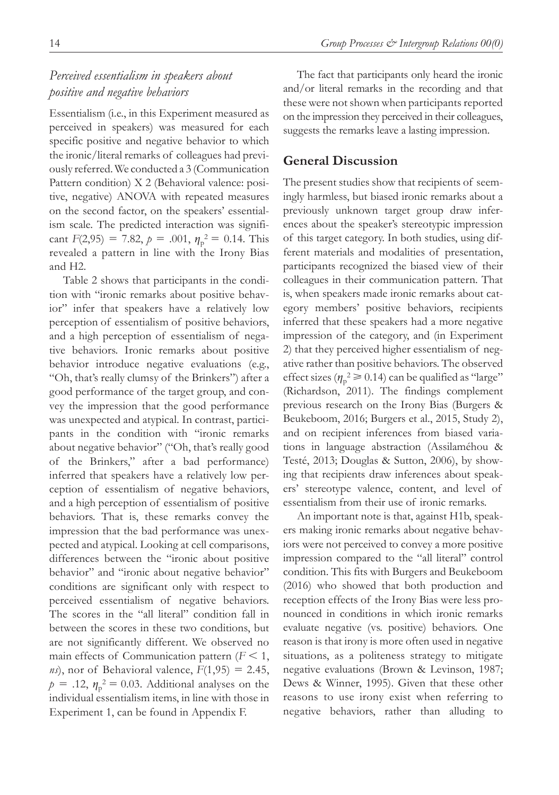# *Perceived essentialism in speakers about positive and negative behaviors*

Essentialism (i.e., in this Experiment measured as perceived in speakers) was measured for each specific positive and negative behavior to which the ironic/literal remarks of colleagues had previously referred. We conducted a 3 (Communication Pattern condition) X 2 (Behavioral valence: positive, negative) ANOVA with repeated measures on the second factor, on the speakers' essentialism scale. The predicted interaction was significant  $F(2,95) = 7.82$ ,  $p = .001$ ,  $\eta_p^2 = 0.14$ . This revealed a pattern in line with the Irony Bias and H2.

Table 2 shows that participants in the condition with "ironic remarks about positive behavior" infer that speakers have a relatively low perception of essentialism of positive behaviors, and a high perception of essentialism of negative behaviors. Ironic remarks about positive behavior introduce negative evaluations (e.g., "Oh, that's really clumsy of the Brinkers") after a good performance of the target group, and convey the impression that the good performance was unexpected and atypical. In contrast, participants in the condition with "ironic remarks about negative behavior" ("Oh, that's really good of the Brinkers," after a bad performance) inferred that speakers have a relatively low perception of essentialism of negative behaviors, and a high perception of essentialism of positive behaviors. That is, these remarks convey the impression that the bad performance was unexpected and atypical. Looking at cell comparisons, differences between the "ironic about positive behavior" and "ironic about negative behavior" conditions are significant only with respect to perceived essentialism of negative behaviors. The scores in the "all literal" condition fall in between the scores in these two conditions, but are not significantly different. We observed no main effects of Communication pattern (*F* < 1, *ns*), nor of Behavioral valence,  $F(1,95) = 2.45$ ,  $p = .12$ ,  $\eta_p^2 = 0.03$ . Additional analyses on the individual essentialism items, in line with those in Experiment 1, can be found in Appendix F.

The fact that participants only heard the ironic and/or literal remarks in the recording and that these were not shown when participants reported on the impression they perceived in their colleagues, suggests the remarks leave a lasting impression.

# **General Discussion**

The present studies show that recipients of seemingly harmless, but biased ironic remarks about a previously unknown target group draw inferences about the speaker's stereotypic impression of this target category. In both studies, using different materials and modalities of presentation, participants recognized the biased view of their colleagues in their communication pattern. That is, when speakers made ironic remarks about category members' positive behaviors, recipients inferred that these speakers had a more negative impression of the category, and (in Experiment 2) that they perceived higher essentialism of negative rather than positive behaviors. The observed effect sizes ( $\eta_p^2 \ge 0.14$ ) can be qualified as "large" (Richardson, 2011). The findings complement previous research on the Irony Bias (Burgers & Beukeboom, 2016; Burgers et al., 2015, Study 2), and on recipient inferences from biased variations in language abstraction (Assilaméhou & Testé, 2013; Douglas & Sutton, 2006), by showing that recipients draw inferences about speakers' stereotype valence, content, and level of essentialism from their use of ironic remarks.

An important note is that, against H1b, speakers making ironic remarks about negative behaviors were not perceived to convey a more positive impression compared to the "all literal" control condition. This fits with Burgers and Beukeboom (2016) who showed that both production and reception effects of the Irony Bias were less pronounced in conditions in which ironic remarks evaluate negative (vs. positive) behaviors. One reason is that irony is more often used in negative situations, as a politeness strategy to mitigate negative evaluations (Brown & Levinson, 1987; Dews & Winner, 1995). Given that these other reasons to use irony exist when referring to negative behaviors, rather than alluding to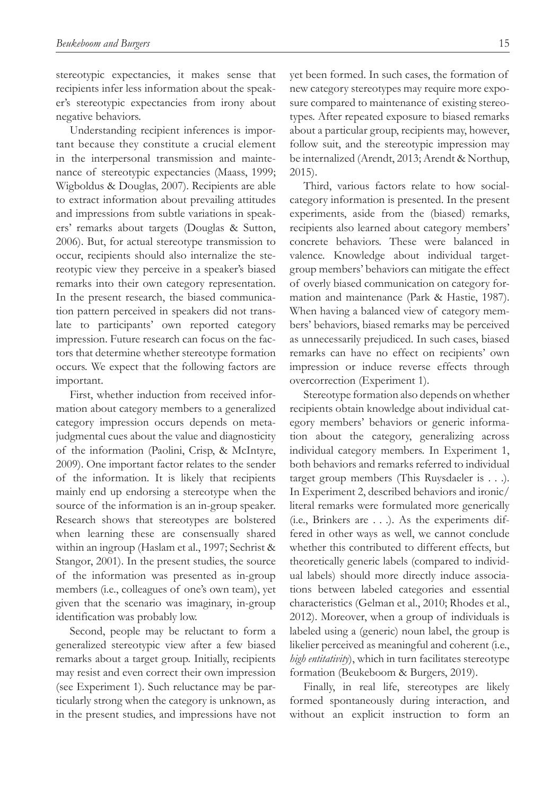stereotypic expectancies, it makes sense that recipients infer less information about the speaker's stereotypic expectancies from irony about negative behaviors.

Understanding recipient inferences is important because they constitute a crucial element in the interpersonal transmission and maintenance of stereotypic expectancies (Maass, 1999; Wigboldus & Douglas, 2007). Recipients are able to extract information about prevailing attitudes and impressions from subtle variations in speakers' remarks about targets (Douglas & Sutton, 2006). But, for actual stereotype transmission to occur, recipients should also internalize the stereotypic view they perceive in a speaker's biased remarks into their own category representation. In the present research, the biased communication pattern perceived in speakers did not translate to participants' own reported category impression. Future research can focus on the factors that determine whether stereotype formation occurs. We expect that the following factors are important.

First, whether induction from received information about category members to a generalized category impression occurs depends on metajudgmental cues about the value and diagnosticity of the information (Paolini, Crisp, & McIntyre, 2009). One important factor relates to the sender of the information. It is likely that recipients mainly end up endorsing a stereotype when the source of the information is an in-group speaker. Research shows that stereotypes are bolstered when learning these are consensually shared within an ingroup (Haslam et al., 1997; Sechrist & Stangor, 2001). In the present studies, the source of the information was presented as in-group members (i.e., colleagues of one's own team), yet given that the scenario was imaginary, in-group identification was probably low.

Second, people may be reluctant to form a generalized stereotypic view after a few biased remarks about a target group. Initially, recipients may resist and even correct their own impression (see Experiment 1). Such reluctance may be particularly strong when the category is unknown, as in the present studies, and impressions have not yet been formed. In such cases, the formation of new category stereotypes may require more exposure compared to maintenance of existing stereotypes. After repeated exposure to biased remarks about a particular group, recipients may, however, follow suit, and the stereotypic impression may be internalized (Arendt, 2013; Arendt & Northup, 2015).

Third, various factors relate to how socialcategory information is presented. In the present experiments, aside from the (biased) remarks, recipients also learned about category members' concrete behaviors. These were balanced in valence. Knowledge about individual targetgroup members' behaviors can mitigate the effect of overly biased communication on category formation and maintenance (Park & Hastie, 1987). When having a balanced view of category members' behaviors, biased remarks may be perceived as unnecessarily prejudiced. In such cases, biased remarks can have no effect on recipients' own impression or induce reverse effects through overcorrection (Experiment 1).

Stereotype formation also depends on whether recipients obtain knowledge about individual category members' behaviors or generic information about the category, generalizing across individual category members. In Experiment 1, both behaviors and remarks referred to individual target group members (This Ruysdaeler is . . .). In Experiment 2, described behaviors and ironic/ literal remarks were formulated more generically (i.e., Brinkers are . . .). As the experiments differed in other ways as well, we cannot conclude whether this contributed to different effects, but theoretically generic labels (compared to individual labels) should more directly induce associations between labeled categories and essential characteristics (Gelman et al., 2010; Rhodes et al., 2012). Moreover, when a group of individuals is labeled using a (generic) noun label, the group is likelier perceived as meaningful and coherent (i.e., *high entitativity*), which in turn facilitates stereotype formation (Beukeboom & Burgers, 2019).

Finally, in real life, stereotypes are likely formed spontaneously during interaction, and without an explicit instruction to form an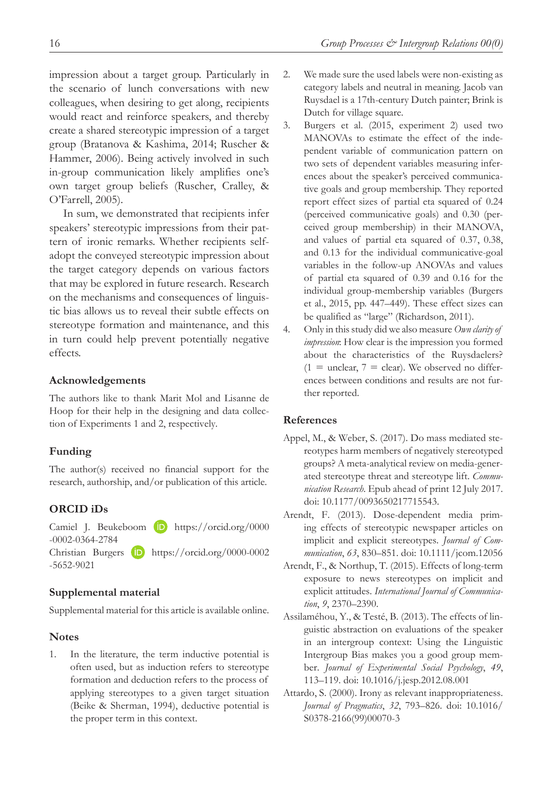impression about a target group. Particularly in the scenario of lunch conversations with new colleagues, when desiring to get along, recipients would react and reinforce speakers, and thereby create a shared stereotypic impression of a target group (Bratanova & Kashima, 2014; Ruscher & Hammer, 2006). Being actively involved in such in-group communication likely amplifies one's own target group beliefs (Ruscher, Cralley, & O'Farrell, 2005).

In sum, we demonstrated that recipients infer speakers' stereotypic impressions from their pattern of ironic remarks. Whether recipients selfadopt the conveyed stereotypic impression about the target category depends on various factors that may be explored in future research. Research on the mechanisms and consequences of linguistic bias allows us to reveal their subtle effects on stereotype formation and maintenance, and this in turn could help prevent potentially negative effects.

#### **Acknowledgements**

The authors like to thank Marit Mol and Lisanne de Hoop for their help in the designing and data collection of Experiments 1 and 2, respectively.

### **Funding**

The author(s) received no financial support for the research, authorship, and/or publication of this article.

### **ORCID iDs**

Camiel J. Beukeboom **D** [https://orcid.org/0000](https://orcid.org/0000-0002-0364-2784) [-0002-0364-2784](https://orcid.org/0000-0002-0364-2784) Christian Burgers **D** [https://orcid.org/0000-0002](https://orcid.org/0000-0002-5652-9021) [-5652-9021](https://orcid.org/0000-0002-5652-9021)

### **Supplemental material**

Supplemental material for this article is available online.

### **Notes**

1. In the literature, the term inductive potential is often used, but as induction refers to stereotype formation and deduction refers to the process of applying stereotypes to a given target situation (Beike & Sherman, 1994), deductive potential is the proper term in this context.

- 2. We made sure the used labels were non-existing as category labels and neutral in meaning. Jacob van Ruysdael is a 17th-century Dutch painter; Brink is Dutch for village square.
- 3. Burgers et al. (2015, experiment 2) used two MANOVAs to estimate the effect of the independent variable of communication pattern on two sets of dependent variables measuring inferences about the speaker's perceived communicative goals and group membership. They reported report effect sizes of partial eta squared of 0.24 (perceived communicative goals) and 0.30 (perceived group membership) in their MANOVA, and values of partial eta squared of 0.37, 0.38, and 0.13 for the individual communicative-goal variables in the follow-up ANOVAs and values of partial eta squared of 0.39 and 0.16 for the individual group-membership variables (Burgers et al., 2015, pp. 447–449). These effect sizes can be qualified as "large" (Richardson, 2011).
- 4. Only in this study did we also measure *Own clarity of impression*: How clear is the impression you formed about the characteristics of the Ruysdaelers?  $(1 = \text{under}, 7 = \text{clear})$ . We observed no differences between conditions and results are not further reported.

#### **References**

- Appel, M., & Weber, S. (2017). Do mass mediated stereotypes harm members of negatively stereotyped groups? A meta-analytical review on media-generated stereotype threat and stereotype lift. *Communication Research*. Epub ahead of print 12 July 2017. doi: 10.1177/0093650217715543.
- Arendt, F. (2013). Dose-dependent media priming effects of stereotypic newspaper articles on implicit and explicit stereotypes. *Journal of Communication*, *63*, 830–851. doi: 10.1111/jcom.12056
- Arendt, F., & Northup, T. (2015). Effects of long-term exposure to news stereotypes on implicit and explicit attitudes. *International Journal of Communication*, *9*, 2370–2390.
- Assilaméhou, Y., & Testé, B. (2013). The effects of linguistic abstraction on evaluations of the speaker in an intergroup context: Using the Linguistic Intergroup Bias makes you a good group member. *Journal of Experimental Social Psychology*, *49*, 113–119. doi: 10.1016/j.jesp.2012.08.001
- Attardo, S. (2000). Irony as relevant inappropriateness. *Journal of Pragmatics*, *32*, 793–826. doi: 10.1016/ S0378-2166(99)00070-3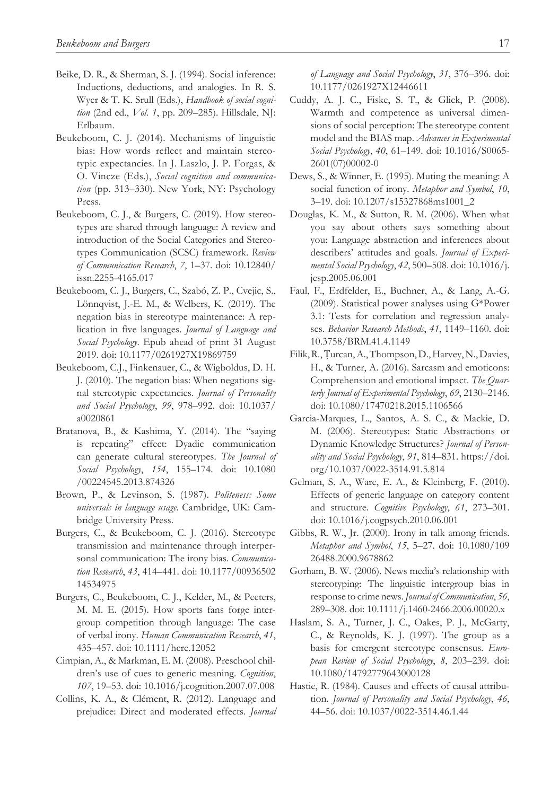- Beike, D. R., & Sherman, S. J. (1994). Social inference: Inductions, deductions, and analogies. In R. S. Wyer & T. K. Srull (Eds.), *Handbook of social cognition* (2nd ed., *Vol. 1*, pp. 209–285). Hillsdale, NJ: Erlbaum.
- Beukeboom, C. J. (2014). Mechanisms of linguistic bias: How words reflect and maintain stereotypic expectancies. In J. Laszlo, J. P. Forgas, & O. Vincze (Eds.), *Social cognition and communication* (pp. 313–330). New York, NY: Psychology Press.
- Beukeboom, C. J., & Burgers, C. (2019). How stereotypes are shared through language: A review and introduction of the Social Categories and Stereotypes Communication (SCSC) framework. *Review of Communication Research*, *7*, 1–37. doi: 10.12840/ issn.2255-4165.017
- Beukeboom, C. J., Burgers, C., Szabó, Z. P., Cvejic, S., Lönnqvist, J.-E. M., & Welbers, K. (2019). The negation bias in stereotype maintenance: A replication in five languages. *Journal of Language and Social Psychology*. Epub ahead of print 31 August 2019. doi: 10.1177/0261927X19869759
- Beukeboom, C.J., Finkenauer, C., & Wigboldus, D. H. J. (2010). The negation bias: When negations signal stereotypic expectancies. *Journal of Personality and Social Psychology*, *99*, 978–992. doi: 10.1037/ a0020861
- Bratanova, B., & Kashima, Y. (2014). The "saying is repeating" effect: Dyadic communication can generate cultural stereotypes. *The Journal of Social Psychology*, *154*, 155–174. doi: 10.1080 /00224545.2013.874326
- Brown, P., & Levinson, S. (1987). *Politeness: Some universals in language usage*. Cambridge, UK: Cambridge University Press.
- Burgers, C., & Beukeboom, C. J. (2016). Stereotype transmission and maintenance through interpersonal communication: The irony bias. *Communication Research*, *43*, 414–441. doi: 10.1177/00936502 14534975
- Burgers, C., Beukeboom, C. J., Kelder, M., & Peeters, M. M. E. (2015). How sports fans forge intergroup competition through language: The case of verbal irony. *Human Communication Research*, *41*, 435–457. doi: 10.1111/hcre.12052
- Cimpian, A., & Markman, E. M. (2008). Preschool children's use of cues to generic meaning. *Cognition*, *107*, 19–53. doi: 10.1016/j.cognition.2007.07.008
- Collins, K. A., & Clément, R. (2012). Language and prejudice: Direct and moderated effects. *Journal*

*of Language and Social Psychology*, *31*, 376–396. doi: 10.1177/0261927X12446611

- Cuddy, A. J. C., Fiske, S. T., & Glick, P. (2008). Warmth and competence as universal dimensions of social perception: The stereotype content model and the BIAS map. *Advances in Experimental Social Psychology*, *40*, 61–149. doi: 10.1016/S0065- 2601(07)00002-0
- Dews, S., & Winner, E. (1995). Muting the meaning: A social function of irony. *Metaphor and Symbol*, *10*, 3–19. doi: 10.1207/s15327868ms1001\_2
- Douglas, K. M., & Sutton, R. M. (2006). When what you say about others says something about you: Language abstraction and inferences about describers' attitudes and goals. *Journal of Experimental Social Psychology*, *42*, 500–508. doi: 10.1016/j. jesp.2005.06.001
- Faul, F., Erdfelder, E., Buchner, A., & Lang, A.-G. (2009). Statistical power analyses using G\*Power 3.1: Tests for correlation and regression analyses. *Behavior Research Methods*, *41*, 1149–1160. doi: 10.3758/BRM.41.4.1149
- Filik, R., Țurcan, A., Thompson, D., Harvey, N., Davies, H., & Turner, A. (2016). Sarcasm and emoticons: Comprehension and emotional impact. *The Quarterly Journal of Experimental Psychology*, *69*, 2130–2146. doi: 10.1080/17470218.2015.1106566
- Garcia-Marques, L., Santos, A. S. C., & Mackie, D. M. (2006). Stereotypes: Static Abstractions or Dynamic Knowledge Structures? *Journal of Personality and Social Psychology*, *91*, 814–831. https://doi. org/10.1037/0022-3514.91.5.814
- Gelman, S. A., Ware, E. A., & Kleinberg, F. (2010). Effects of generic language on category content and structure. *Cognitive Psychology*, *61*, 273–301. doi: 10.1016/j.cogpsych.2010.06.001
- Gibbs, R. W., Jr. (2000). Irony in talk among friends. *Metaphor and Symbol*, *15*, 5–27. doi: 10.1080/109 26488.2000.9678862
- Gorham, B. W. (2006). News media's relationship with stereotyping: The linguistic intergroup bias in response to crime news. *Journal of Communication*, *56*, 289–308. doi: 10.1111/j.1460-2466.2006.00020.x
- Haslam, S. A., Turner, J. C., Oakes, P. J., McGarty, C., & Reynolds, K. J. (1997). The group as a basis for emergent stereotype consensus. *European Review of Social Psychology*, *8*, 203–239. doi: 10.1080/14792779643000128
- Hastie, R. (1984). Causes and effects of causal attribution. *Journal of Personality and Social Psychology*, *46*, 44–56. doi: 10.1037/0022-3514.46.1.44